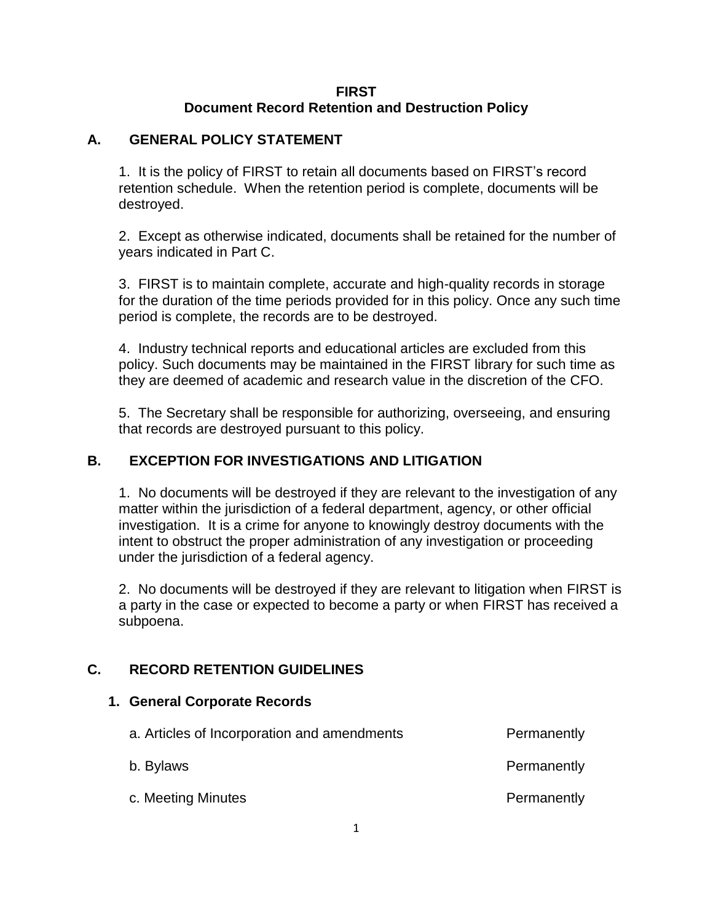### **FIRST Document Record Retention and Destruction Policy**

### **A. GENERAL POLICY STATEMENT**

1. It is the policy of FIRST to retain all documents based on FIRST's record retention schedule. When the retention period is complete, documents will be destroyed.

2. Except as otherwise indicated, documents shall be retained for the number of years indicated in Part C.

3. FIRST is to maintain complete, accurate and high-quality records in storage for the duration of the time periods provided for in this policy. Once any such time period is complete, the records are to be destroyed.

4. Industry technical reports and educational articles are excluded from this policy. Such documents may be maintained in the FIRST library for such time as they are deemed of academic and research value in the discretion of the CFO.

5. The Secretary shall be responsible for authorizing, overseeing, and ensuring that records are destroyed pursuant to this policy.

## **B. EXCEPTION FOR INVESTIGATIONS AND LITIGATION**

1. No documents will be destroyed if they are relevant to the investigation of any matter within the jurisdiction of a federal department, agency, or other official investigation. It is a crime for anyone to knowingly destroy documents with the intent to obstruct the proper administration of any investigation or proceeding under the jurisdiction of a federal agency.

2. No documents will be destroyed if they are relevant to litigation when FIRST is a party in the case or expected to become a party or when FIRST has received a subpoena.

## **C. RECORD RETENTION GUIDELINES**

### **1. General Corporate Records**

| a. Articles of Incorporation and amendments | Permanently |
|---------------------------------------------|-------------|
| b. Bylaws                                   | Permanently |
| c. Meeting Minutes                          | Permanently |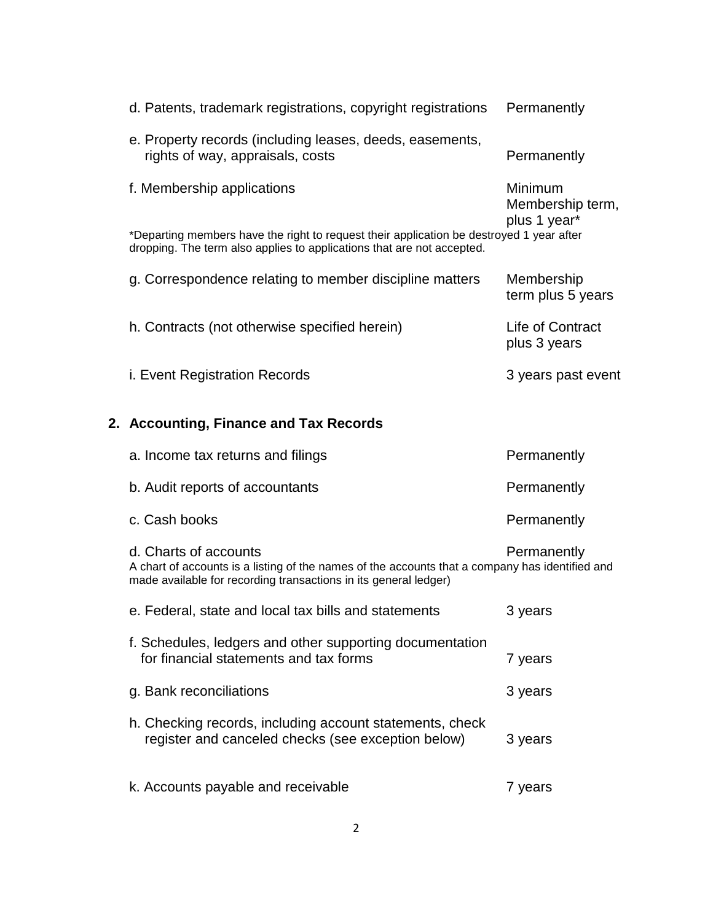| d. Patents, trademark registrations, copyright registrations                                                                                                                                 | Permanently                                 |
|----------------------------------------------------------------------------------------------------------------------------------------------------------------------------------------------|---------------------------------------------|
| e. Property records (including leases, deeds, easements,<br>rights of way, appraisals, costs                                                                                                 | Permanently                                 |
| f. Membership applications                                                                                                                                                                   | Minimum<br>Membership term,<br>plus 1 year* |
| *Departing members have the right to request their application be destroyed 1 year after<br>dropping. The term also applies to applications that are not accepted.                           |                                             |
| g. Correspondence relating to member discipline matters                                                                                                                                      | Membership<br>term plus 5 years             |
| h. Contracts (not otherwise specified herein)                                                                                                                                                | Life of Contract<br>plus 3 years            |
| <i>i.</i> Event Registration Records                                                                                                                                                         | 3 years past event                          |
| 2. Accounting, Finance and Tax Records                                                                                                                                                       |                                             |
| a. Income tax returns and filings                                                                                                                                                            | Permanently                                 |
| b. Audit reports of accountants                                                                                                                                                              | Permanently                                 |
| c. Cash books                                                                                                                                                                                | Permanently                                 |
| d. Charts of accounts<br>A chart of accounts is a listing of the names of the accounts that a company has identified and<br>made available for recording transactions in its general ledger) | Permanently                                 |
|                                                                                                                                                                                              |                                             |
| e. Federal, state and local tax bills and statements                                                                                                                                         | 3 years                                     |
| f. Schedules, ledgers and other supporting documentation<br>for financial statements and tax forms                                                                                           | 7 years                                     |
| g. Bank reconciliations                                                                                                                                                                      | 3 years                                     |
| h. Checking records, including account statements, check<br>register and canceled checks (see exception below)                                                                               | 3 years                                     |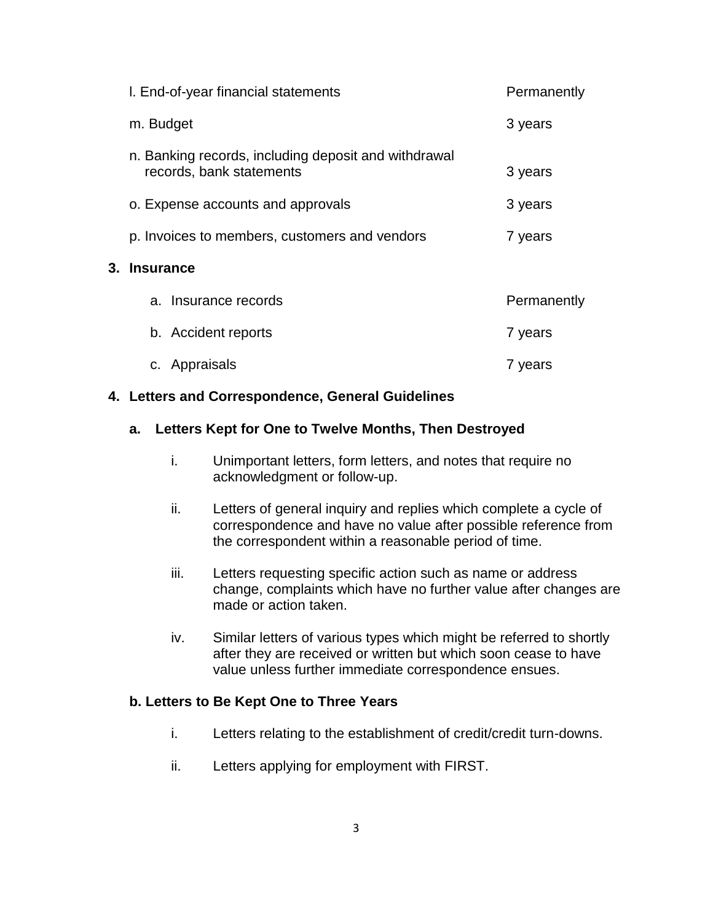| I. End-of-year financial statements                                              | Permanently |
|----------------------------------------------------------------------------------|-------------|
| m. Budget                                                                        | 3 years     |
| n. Banking records, including deposit and withdrawal<br>records, bank statements | 3 years     |
| o. Expense accounts and approvals                                                | 3 years     |
| p. Invoices to members, customers and vendors                                    | 7 years     |
| 3. Insurance                                                                     |             |
| a. Insurance records                                                             | Permanently |
| b. Accident reports                                                              | 7 years     |
| c. Appraisals                                                                    | 7 years     |

#### **4. Letters and Correspondence, General Guidelines**

### **a. Letters Kept for One to Twelve Months, Then Destroyed**

- i. Unimportant letters, form letters, and notes that require no acknowledgment or follow-up.
- ii. Letters of general inquiry and replies which complete a cycle of correspondence and have no value after possible reference from the correspondent within a reasonable period of time.
- iii. Letters requesting specific action such as name or address change, complaints which have no further value after changes are made or action taken.
- iv. Similar letters of various types which might be referred to shortly after they are received or written but which soon cease to have value unless further immediate correspondence ensues.

### **b. Letters to Be Kept One to Three Years**

- i. Letters relating to the establishment of credit/credit turn-downs.
- ii. Letters applying for employment with FIRST.